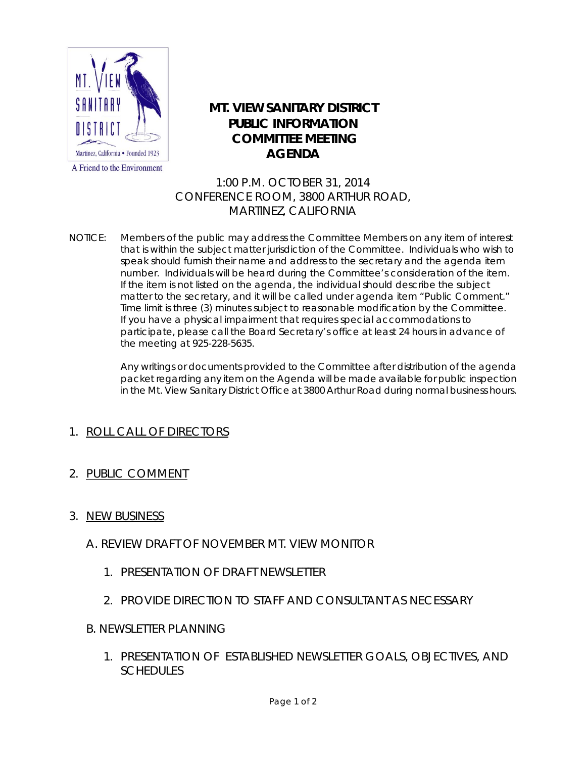

## A Friend to the Environment

## **MT. VIEW SANITARY DISTRICT PUBLIC INFORMATION COMMITTEE MEETING AGENDA**

1:00 P.M. OCTOBER 31, 2014 CONFERENCE ROOM, 3800 ARTHUR ROAD, MARTINEZ, CALIFORNIA

NOTICE: Members of the public may address the Committee Members on any item of interest that is within the subject matter jurisdiction of the Committee. Individuals who wish to speak should furnish their name and address to the secretary and the agenda item number. Individuals will be heard during the Committee's consideration of the item. If the item is not listed on the agenda, the individual should describe the subject matter to the secretary, and it will be called under agenda item "Public Comment." Time limit is three (3) minutes subject to reasonable modification by the Committee. If you have a physical impairment that requires special accommodations to participate, please call the Board Secretary's office at least 24 hours in advance of the meeting at 925-228-5635.

> Any writings or documents provided to the Committee after distribution of the agenda packet regarding any item on the Agenda will be made available for public inspection in the Mt. View Sanitary District Office at 3800 Arthur Road during normal business hours.

## 1. ROLL CALL OF DIRECTORS

2. PUBLIC COMMENT

## 3. NEW BUSINESS

- A. REVIEW DRAFT OF NOVEMBER MT. VIEW MONITOR
	- 1. PRESENTATION OF DRAFT NEWSLETTER
	- 2. PROVIDE DIRECTION TO STAFF AND CONSULTANT AS NECESSARY
- B. NEWSLETTER PLANNING
	- 1. PRESENTATION OF ESTABLISHED NEWSLETTER GOALS, OBJECTIVES, AND **SCHEDULES**